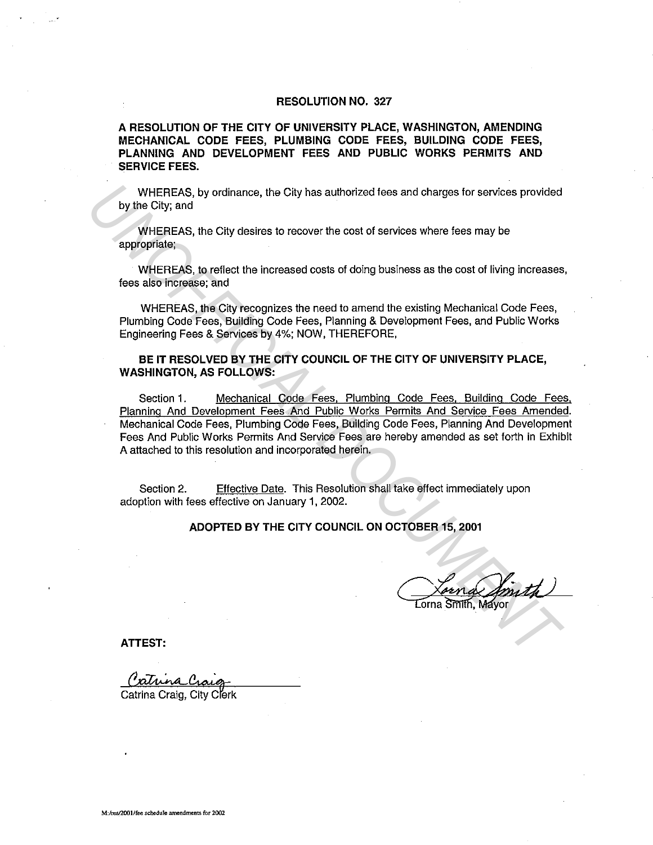#### **RESOLUTION NO. 327**

**A RESOLUTION OF THE CITY OF UNIVERSITY PLACE, WASHINGTON, AMENDING MECHANICAL CODE FEES, PLUMBING CODE FEES, BUILDING CODE FEES, PLANNING AND DEVELOPMENT FEES AND PUBLIC WORKS PERMITS AND SERVICE FEES.** 

WHEREAS, by ordinance, the City has authorized fees and charges for services provided by the City; and

WHEREAS, the City desires to recover the cost of services where lees may be appropriate;

WHEREAS, to reflect the increased costs of doing business as the cost of living increases, fees also increase; and

WHEREAS, the City recognizes the need to amend the existing Mechanical Code Fees, Plumbing Code Fees, Building Code Fees, Planning & Development Fees, and Public Works Engineering Fees & Services by 4%; NOW, THEREFORE,

#### **BE IT RESOLVED BY THE CITY COUNCIL OF THE CITY OF UNIVERSITY PLACE, WASHINGTON, AS FOLLOWS:**

Section 1. Mechanical Code Fees, Plumbing Code Fees, Building Code Fees, Planning And Development Fees And Public Works Permits And Service Fees Amended. Mechanical Code Fees, Plumbing Code Fees, Building Code Fees, Planning And Development Fees And Public Works Permits And Service Fees are hereby amended as set forth in Exhibit A attached to this resolution and incorporated herein. WHEREAS, by ordinance, the City has authorized foes and charges for services provided<br>by the City, and<br>WHEREAS, the City desires to recover the cost of services where fees may be<br>appropriate,<br>therefices, the City desires t

Section 2. Effective Date. This Resolution shall take effect immediately upon adoption with fees effective on January 1, 2002.

**ADOPTED BY THE CITY COUNCIL ON OCTOBER 15, 2001** 

Lorn of Jointh

**ATTEST:** 

Catrina Craig, City Clerk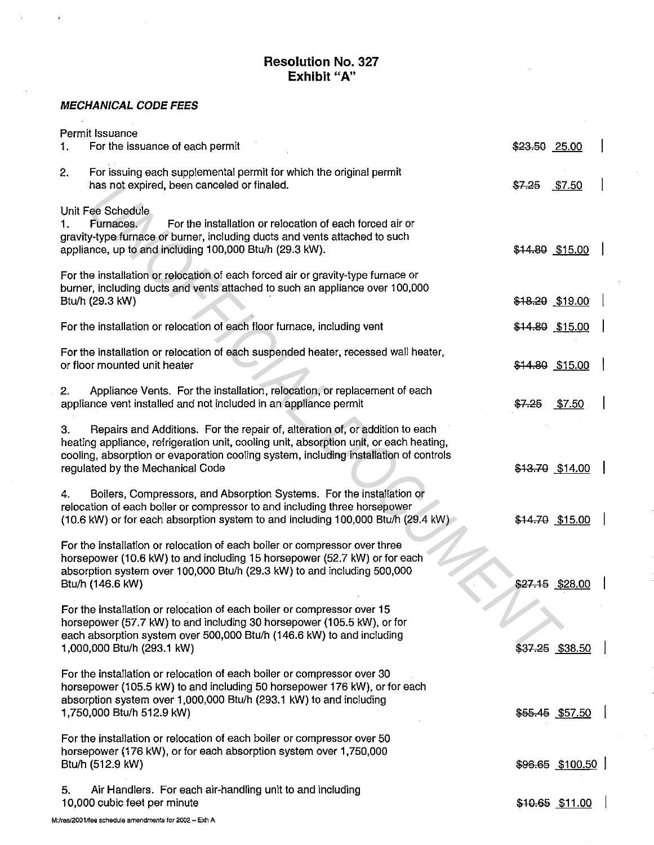# **Resolution No. 327 Exhibit "A"**

### **MECHANICAL CODE FEES**

l.

 $\bar{z}$ 

 $\ddot{\phantom{a}}$ 

| Permit Issuance<br>For the issuance of each permit<br>1.                                                                                                                                                                                                                                                  | \$23.50 25.00     |
|-----------------------------------------------------------------------------------------------------------------------------------------------------------------------------------------------------------------------------------------------------------------------------------------------------------|-------------------|
| 2.<br>For issuing each supplemental permit for which the original permit<br>has not expired, been canceled or finaled.                                                                                                                                                                                    | $$7-25$<br>\$7.50 |
| Unit Fee Schedule<br>For the installation or relocation of each forced air or<br>Furnaces.<br>1.<br>gravity-type furnace or burner, including ducts and vents attached to such<br>appliance, up to and including 100,000 Btu/h (29.3 kW).                                                                 | \$14.80 \$15.00   |
| For the installation or relocation of each forced air or gravity-type furnace or<br>burner, including ducts and vents attached to such an appliance over 100,000<br>Btu/h (29.3 kW)                                                                                                                       | \$18.20 \$19.00   |
| For the installation or relocation of each floor furnace, including vent                                                                                                                                                                                                                                  | \$14.80 \$15.00   |
| For the installation or relocation of each suspended heater, recessed wall heater,<br>or floor mounted unit heater                                                                                                                                                                                        | \$14.80 \$15.00   |
| Appliance Vents. For the installation, relocation, or replacement of each<br>2.<br>appliance vent installed and not included in an appliance permit                                                                                                                                                       | \$7.50<br>$$7-25$ |
| Repairs and Additions. For the repair of, alteration of, or addition to each<br>З.<br>heating appliance, refrigeration unit, cooling unit, absorption unit, or each heating,<br>cooling, absorption or evaporation cooling system, including installation of controls<br>regulated by the Mechanical Code | \$13.70 \$14.00   |
| Boilers, Compressors, and Absorption Systems. For the installation or<br>4.<br>relocation of each boiler or compressor to and including three horsepower<br>(10.6 kW) or for each absorption system to and including 100,000 Btu/h (29.4 kW)                                                              | \$14.70 \$15.00   |
| For the installation or relocation of each boiler or compressor over three<br>horsepower (10.6 kW) to and including 15 horsepower (52.7 kW) or for each<br>absorption system over 100,000 Btu/h (29.3 kW) to and including 500,000<br>Btu/h (146.6 kW)                                                    | \$27.15 \$28.00   |
| For the installation or relocation of each boiler or compressor over 15<br>horsepower (57.7 kW) to and including 30 horsepower (105.5 kW), or for<br>each absorption system over 500,000 Btu/h (146.6 kW) to and including<br>1,000,000 Btu/h (293.1 kW)                                                  | \$37.25 \$38.50   |
| For the installation or relocation of each boiler or compressor over 30<br>horsepower (105.5 kW) to and including 50 horsepower 176 kW), or for each<br>absorption system over 1,000,000 Btu/h (293.1 kW) to and including<br>1,750,000 Btu/h 512.9 kW)                                                   | \$55.45 \$57.50   |
| For the installation or relocation of each boiler or compressor over 50<br>horsepower (176 kW), or for each absorption system over 1,750,000<br>Btu/h (512.9 kW)                                                                                                                                          | \$96.65 \$100.50  |
| Air Handlers. For each air-handling unit to and including<br>5.<br>10,000 cubic feet per minute                                                                                                                                                                                                           | \$10.65 \$11.00   |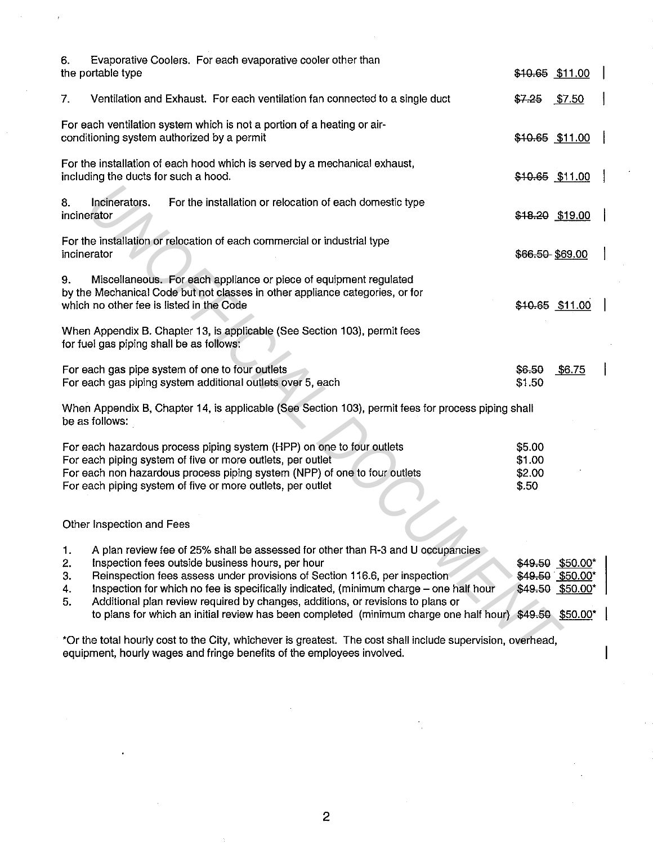| 6.                                                                                                                                                                                    | Evaporative Coolers. For each evaporative cooler other than                                                                                                                                                                                                                                                                                                                                                                                                                                               |                                     |                                                          |  |
|---------------------------------------------------------------------------------------------------------------------------------------------------------------------------------------|-----------------------------------------------------------------------------------------------------------------------------------------------------------------------------------------------------------------------------------------------------------------------------------------------------------------------------------------------------------------------------------------------------------------------------------------------------------------------------------------------------------|-------------------------------------|----------------------------------------------------------|--|
| the portable type                                                                                                                                                                     |                                                                                                                                                                                                                                                                                                                                                                                                                                                                                                           | \$10.65 \$11.00                     |                                                          |  |
| 7.                                                                                                                                                                                    | Ventilation and Exhaust. For each ventilation fan connected to a single duct                                                                                                                                                                                                                                                                                                                                                                                                                              | \$7.25                              | <u>\$7.50</u>                                            |  |
|                                                                                                                                                                                       | For each ventilation system which is not a portion of a heating or air-<br>conditioning system authorized by a permit                                                                                                                                                                                                                                                                                                                                                                                     |                                     | $$10.65$ \$11.00                                         |  |
|                                                                                                                                                                                       | For the installation of each hood which is served by a mechanical exhaust,<br>including the ducts for such a hood.                                                                                                                                                                                                                                                                                                                                                                                        |                                     | \$10.65 \$11.00                                          |  |
| 8.<br>incinerator                                                                                                                                                                     | Incinerators.<br>For the installation or relocation of each domestic type                                                                                                                                                                                                                                                                                                                                                                                                                                 |                                     | \$18.20 \$19.00                                          |  |
| incinerator                                                                                                                                                                           | For the installation or relocation of each commercial or industrial type                                                                                                                                                                                                                                                                                                                                                                                                                                  | \$66.50 \$69.00                     |                                                          |  |
| 9.                                                                                                                                                                                    | Miscellaneous. For each appliance or piece of equipment regulated<br>by the Mechanical Code but not classes in other appliance categories, or for<br>which no other fee is listed in the Code                                                                                                                                                                                                                                                                                                             |                                     | \$10.65 \$11.00                                          |  |
|                                                                                                                                                                                       | When Appendix B. Chapter 13, is applicable (See Section 103), permit fees<br>for fuel gas piping shall be as follows:                                                                                                                                                                                                                                                                                                                                                                                     |                                     |                                                          |  |
|                                                                                                                                                                                       | For each gas pipe system of one to four outlets<br>For each gas piping system additional outlets over 5, each                                                                                                                                                                                                                                                                                                                                                                                             | \$6.50<br>\$1.50                    | \$6.75                                                   |  |
| be as follows:                                                                                                                                                                        | When Appendix B, Chapter 14, is applicable (See Section 103), permit fees for process piping shall                                                                                                                                                                                                                                                                                                                                                                                                        |                                     |                                                          |  |
|                                                                                                                                                                                       | For each hazardous process piping system (HPP) on one to four outlets<br>For each piping system of five or more outlets, per outlet<br>For each non hazardous process piping system (NPP) of one to four outlets<br>For each piping system of five or more outlets, per outlet                                                                                                                                                                                                                            | \$5.00<br>\$1.00<br>\$2.00<br>\$.50 |                                                          |  |
|                                                                                                                                                                                       | Other Inspection and Fees                                                                                                                                                                                                                                                                                                                                                                                                                                                                                 |                                     |                                                          |  |
| 1.<br>2.<br>3.<br>4.<br>5.                                                                                                                                                            | A plan review fee of 25% shall be assessed for other than R-3 and U occupancies<br>Inspection fees outside business hours, per hour<br>Reinspection fees assess under provisions of Section 116.6, per inspection<br>Inspection for which no fee is specifically indicated, (minimum charge - one half hour<br>Additional plan review required by changes, additions, or revisions to plans or<br>to plans for which an initial review has been completed (minimum charge one half hour) \$49.50 \$50.00* |                                     | \$49.50 \$50.00*<br>\$49.50 \$50.00*<br>\$49.50 \$50.00* |  |
| *Or the total hourly cost to the City, whichever is greatest. The cost shall include supervision, overhead,<br>equipment, hourly wages and fringe benefits of the employees involved. |                                                                                                                                                                                                                                                                                                                                                                                                                                                                                                           |                                     |                                                          |  |

 $\overline{1}$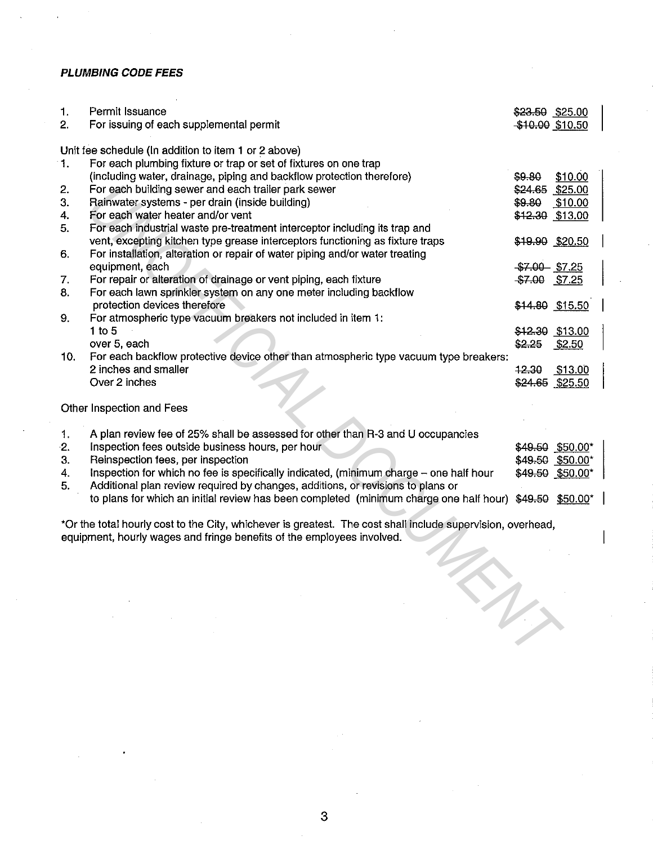### **PLUMBING CODE FEES**

| 1.<br>2.                                                                                                                                                                              | Permit Issuance<br>For issuing of each supplemental permit                                              | \$23.50 \$25.00<br>\$10.00 \$10.50 |                  |  |
|---------------------------------------------------------------------------------------------------------------------------------------------------------------------------------------|---------------------------------------------------------------------------------------------------------|------------------------------------|------------------|--|
|                                                                                                                                                                                       |                                                                                                         |                                    |                  |  |
|                                                                                                                                                                                       | Unit fee schedule (In addition to item 1 or 2 above)                                                    |                                    |                  |  |
| 1.                                                                                                                                                                                    | For each plumbing fixture or trap or set of fixtures on one trap                                        |                                    |                  |  |
|                                                                                                                                                                                       | (including water, drainage, piping and backflow protection therefore)                                   | S9.80                              | \$10.00          |  |
| 2.                                                                                                                                                                                    | For each building sewer and each trailer park sewer                                                     | \$24.65 \$25.00                    |                  |  |
| 3.                                                                                                                                                                                    | Rainwater systems - per drain (inside building)                                                         | \$9.80                             | \$10.00          |  |
| 4.                                                                                                                                                                                    | For each water heater and/or vent                                                                       |                                    | \$12.30 \$13.00  |  |
| 5.                                                                                                                                                                                    | For each industrial waste pre-treatment interceptor including its trap and                              |                                    |                  |  |
|                                                                                                                                                                                       | vent, excepting kitchen type grease interceptors functioning as fixture traps                           |                                    | \$19.90 \$20.50  |  |
| 6.                                                                                                                                                                                    | For installation, alteration or repair of water piping and/or water treating                            |                                    |                  |  |
|                                                                                                                                                                                       | equipment, each                                                                                         | $$7.00$ $$7.25$                    |                  |  |
| 7.                                                                                                                                                                                    | For repair or alteration of drainage or vent piping, each fixture                                       | <del>\$7.00</del> \$7.25           |                  |  |
| 8.                                                                                                                                                                                    | For each lawn sprinkler system on any one meter including backflow                                      |                                    |                  |  |
|                                                                                                                                                                                       | protection devices therefore                                                                            |                                    | \$14.80 \$15.50  |  |
| 9.                                                                                                                                                                                    | For atmospheric type vacuum breakers not included in item 1:                                            |                                    |                  |  |
|                                                                                                                                                                                       | $1$ to $5$                                                                                              |                                    | \$12.30 \$13.00  |  |
|                                                                                                                                                                                       | over 5, each                                                                                            | $$2.25$ \$2.50                     |                  |  |
| 10.                                                                                                                                                                                   | For each backflow protective device other than atmospheric type vacuum type breakers:                   |                                    |                  |  |
|                                                                                                                                                                                       | 2 inches and smaller                                                                                    | 12.30                              | \$13.00          |  |
|                                                                                                                                                                                       | Over 2 inches                                                                                           |                                    | \$24.65 \$25.50  |  |
|                                                                                                                                                                                       |                                                                                                         |                                    |                  |  |
|                                                                                                                                                                                       | Other Inspection and Fees                                                                               |                                    |                  |  |
|                                                                                                                                                                                       |                                                                                                         |                                    |                  |  |
| 1.                                                                                                                                                                                    | A plan review fee of 25% shall be assessed for other than R-3 and U occupancies                         |                                    |                  |  |
| 2.                                                                                                                                                                                    | Inspection fees outside business hours, per hour                                                        |                                    | \$49.50 \$50.00* |  |
| 3.                                                                                                                                                                                    | Reinspection fees, per inspection                                                                       |                                    | \$49.50 \$50.00* |  |
| 4.                                                                                                                                                                                    | Inspection for which no fee is specifically indicated, (minimum charge - one half hour                  |                                    | \$49.50 \$50.00* |  |
| 5.                                                                                                                                                                                    | Additional plan review required by changes, additions, or revisions to plans or                         |                                    |                  |  |
|                                                                                                                                                                                       | to plans for which an initial review has been completed (minimum charge one half hour) \$49.59 \$50.00* |                                    |                  |  |
|                                                                                                                                                                                       |                                                                                                         |                                    |                  |  |
| *Or the total hourly cost to the City, whichever is greatest. The cost shall include supervision, overhead,<br>equipment, hourly wages and fringe benefits of the employees involved. |                                                                                                         |                                    |                  |  |
|                                                                                                                                                                                       |                                                                                                         |                                    |                  |  |
|                                                                                                                                                                                       |                                                                                                         |                                    |                  |  |
|                                                                                                                                                                                       |                                                                                                         |                                    |                  |  |
|                                                                                                                                                                                       |                                                                                                         |                                    |                  |  |
|                                                                                                                                                                                       |                                                                                                         |                                    |                  |  |
|                                                                                                                                                                                       | in                                                                                                      |                                    |                  |  |
|                                                                                                                                                                                       |                                                                                                         |                                    |                  |  |
|                                                                                                                                                                                       |                                                                                                         |                                    |                  |  |
|                                                                                                                                                                                       |                                                                                                         |                                    |                  |  |

3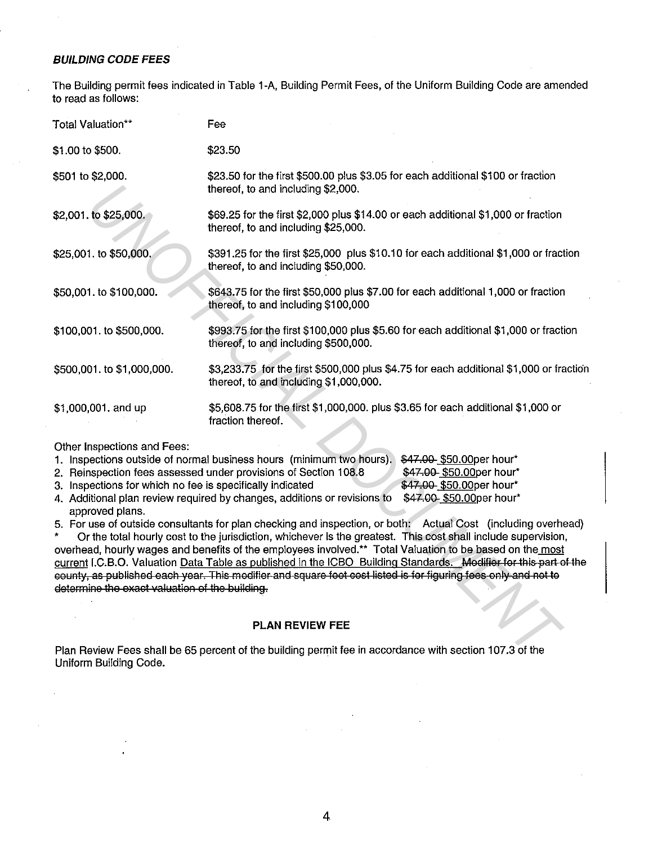#### **BUILDING CODE FEES**

The Building permit fees indicated in Table 1-A, Building Permit Fees, of the Uniform Building Code are amended to read as follows:

| Total Valuation**                                                                                                                                             | Fee                                                                                                                                                                                                                                                                                                                                                                                                                                                                                                                                                                                                                                                                                                                                                                                                                                                                                                                      |  |  |
|---------------------------------------------------------------------------------------------------------------------------------------------------------------|--------------------------------------------------------------------------------------------------------------------------------------------------------------------------------------------------------------------------------------------------------------------------------------------------------------------------------------------------------------------------------------------------------------------------------------------------------------------------------------------------------------------------------------------------------------------------------------------------------------------------------------------------------------------------------------------------------------------------------------------------------------------------------------------------------------------------------------------------------------------------------------------------------------------------|--|--|
| \$1.00 to \$500.                                                                                                                                              | \$23.50                                                                                                                                                                                                                                                                                                                                                                                                                                                                                                                                                                                                                                                                                                                                                                                                                                                                                                                  |  |  |
| \$501 to \$2,000.                                                                                                                                             | \$23.50 for the first \$500.00 plus \$3.05 for each additional \$100 or fraction<br>thereof, to and including \$2,000.                                                                                                                                                                                                                                                                                                                                                                                                                                                                                                                                                                                                                                                                                                                                                                                                   |  |  |
| \$2,001. to \$25,000.                                                                                                                                         | \$69.25 for the first \$2,000 plus \$14.00 or each additional \$1,000 or fraction<br>thereof, to and including \$25,000.                                                                                                                                                                                                                                                                                                                                                                                                                                                                                                                                                                                                                                                                                                                                                                                                 |  |  |
| \$25,001. to \$50,000.                                                                                                                                        | \$391.25 for the first \$25,000 plus \$10.10 for each additional \$1,000 or fraction<br>thereof, to and including \$50,000.                                                                                                                                                                                                                                                                                                                                                                                                                                                                                                                                                                                                                                                                                                                                                                                              |  |  |
| \$50,001. to \$100,000.                                                                                                                                       | \$643.75 for the first \$50,000 plus \$7.00 for each additional 1,000 or fraction<br>thereof, to and including \$100,000                                                                                                                                                                                                                                                                                                                                                                                                                                                                                                                                                                                                                                                                                                                                                                                                 |  |  |
| \$100,001. to \$500,000.                                                                                                                                      | \$993.75 for the first \$100,000 plus \$5.60 for each additional \$1,000 or fraction<br>thereof, to and including \$500,000.                                                                                                                                                                                                                                                                                                                                                                                                                                                                                                                                                                                                                                                                                                                                                                                             |  |  |
| \$500,001. to \$1,000,000.                                                                                                                                    | \$3,233.75 for the first \$500,000 plus \$4.75 for each additional \$1,000 or fraction<br>thereof, to and including \$1,000,000.                                                                                                                                                                                                                                                                                                                                                                                                                                                                                                                                                                                                                                                                                                                                                                                         |  |  |
| \$1,000,001. and up                                                                                                                                           | \$5,608.75 for the first \$1,000,000. plus \$3,65 for each additional \$1,000 or<br>fraction thereof.                                                                                                                                                                                                                                                                                                                                                                                                                                                                                                                                                                                                                                                                                                                                                                                                                    |  |  |
| Other Inspections and Fees:<br>3. Inspections for which no fee is specifically indicated<br>approved plans.<br>determine the exact valuation of the building. | 1. Inspections outside of normal business hours (minimum two hours).<br>\$47.00 \$50.00 per hour*<br>\$47.00 \$50.00per hour*<br>2. Reinspection fees assessed under provisions of Section 108.8<br>\$47.00 \$50.00per hour*<br>4. Additional plan review required by changes, additions or revisions to<br>\$47.00 \$50.00per hour*<br>5. For use of outside consultants for plan checking and inspection, or both: Actual Cost (including overhead)<br>Or the total hourly cost to the jurisdiction, whichever is the greatest. This cost shall include supervision,<br>overhead, hourly wages and benefits of the employees involved.** Total Valuation to be based on the most<br>current I.C.B.O. Valuation Data Table as published in the ICBO Building Standards. Modifier for this part of the<br>county, as published each year. This modifier and square foot cost listed is for figuring fees only and not to |  |  |
|                                                                                                                                                               | PLAN REVIEW FEE                                                                                                                                                                                                                                                                                                                                                                                                                                                                                                                                                                                                                                                                                                                                                                                                                                                                                                          |  |  |
|                                                                                                                                                               | Plan Review Fees shall be 65 percent of the building permit fee in accordance with section 107.3 of the                                                                                                                                                                                                                                                                                                                                                                                                                                                                                                                                                                                                                                                                                                                                                                                                                  |  |  |

| 1. Inspections outside of normal business hours (minimum two hours). \$47,00 \$50.00per hour* |                          |
|-----------------------------------------------------------------------------------------------|--------------------------|
| 2. Reinspection fees assessed under provisions of Section 108.8                               | \$47.00 \$50.00per hour* |
| 3. Inspections for which no fee is specifically indicated                                     | \$47.00 \$50.00per hour* |
| 4. Additional plan review required by changes, additions or revisions to                      | \$47.00 \$50.00per hour* |
| approved plans.                                                                               |                          |

#### **PLAN REVIEW FEE**

Plan Review Fees shall be 65 percent of the building permit fee in accordance with section 107.3 of the Uniform Building Code.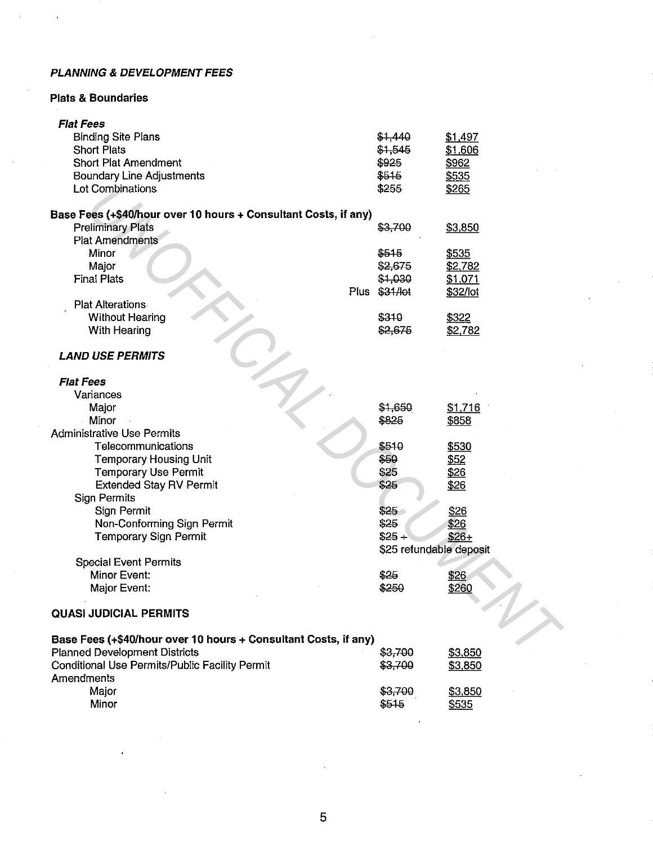## **PLANNING & DEVELOPMENT FEES**

### **Plats & Boundaries**

| <b>Flat Fees</b>                                                |                         |          |
|-----------------------------------------------------------------|-------------------------|----------|
| <b>Binding Site Plans</b>                                       | \$1,440                 | \$1,497  |
| <b>Short Plats</b>                                              | \$1,545                 | \$1,606  |
| <b>Short Plat Amendment</b>                                     | \$925                   | \$962    |
| <b>Boundary Line Adjustments</b>                                | \$515                   | \$535    |
| Lot Combinations                                                | \$255                   | \$265    |
|                                                                 |                         |          |
| Base Fees (+\$40/hour over 10 hours + Consultant Costs, if any) |                         |          |
| <b>Preliminary Plats</b>                                        | \$3,700                 | \$3,850  |
| <b>Plat Amendments</b>                                          |                         |          |
| Minor                                                           | \$515                   | \$535    |
| Major                                                           | \$2,675                 | \$2,782  |
| <b>Final Plats</b>                                              | \$1,030                 | \$1,071  |
|                                                                 | Plus \$31/lot           | \$32/lot |
| <b>Plat Alterations</b>                                         |                         |          |
| <b>Without Hearing</b>                                          | \$310                   | \$322    |
| With Hearing                                                    | \$2,675                 | \$2,782  |
|                                                                 |                         |          |
| <b>LAND USE PERMITS</b>                                         |                         |          |
| <b>Flat Fees</b>                                                |                         |          |
| Variances                                                       |                         |          |
| Major                                                           | \$1,650                 | \$1,716  |
| Minor                                                           | \$825                   | \$858    |
| <b>Administrative Use Permits</b>                               |                         |          |
| Telecommunications                                              | \$510                   | \$530    |
| Temporary Housing Unit                                          | \$50                    | \$52     |
| <b>Temporary Use Permit</b>                                     | \$25                    | \$26     |
| <b>Extended Stay RV Permit</b>                                  | \$25                    | \$26     |
| <b>Sign Permits</b>                                             |                         |          |
| Sign Permit                                                     | \$25                    | \$26     |
| Non-Conforming Sign Permit                                      | \$25                    | \$26     |
| <b>Temporary Sign Permit</b>                                    | $$25 +$                 | $$26+$   |
|                                                                 | \$25 refundable deposit |          |
| <b>Special Event Permits</b>                                    |                         |          |
| Minor Event:                                                    | \$25                    | \$26     |
| Major Event:                                                    | \$250                   | \$260    |
| <b>QUASI JUDICIAL PERMITS</b>                                   |                         |          |
|                                                                 |                         |          |
| Base Fees (+\$40/hour over 10 hours + Consultant Costs, if any) |                         |          |
| <b>Planned Development Districts</b>                            | \$3,700                 | \$3,850  |
| Conditional Use Permits/Public Facility Permit                  | \$3,700                 | \$3,850  |
| Amendments                                                      |                         |          |
| Major                                                           | \$3,700                 | \$3,850  |
| Minor                                                           | \$515                   | \$535    |
|                                                                 |                         |          |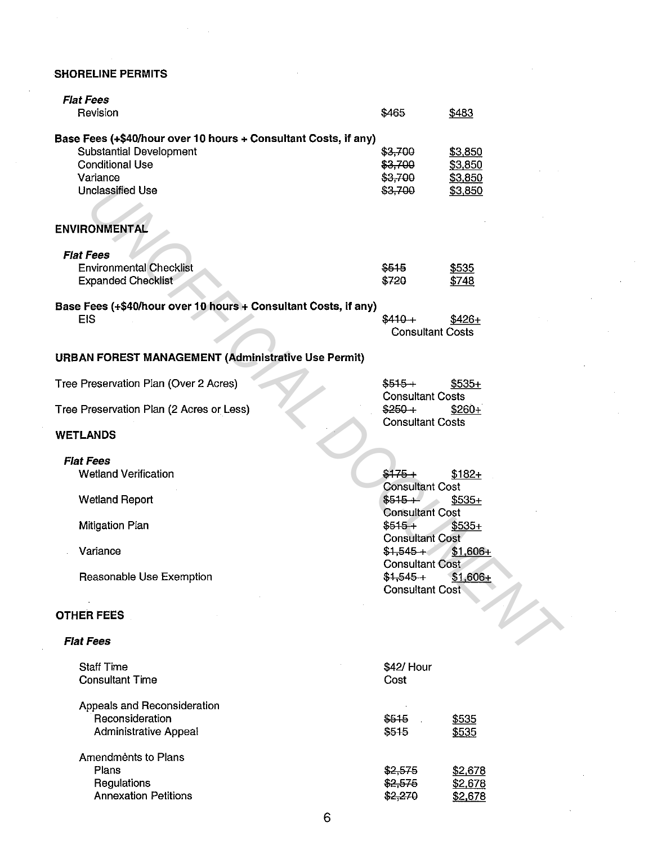# **SHORELINE PERMITS**

| <b>Flat Fees</b>                                                                                                                                            |                                                                                   |                                          |
|-------------------------------------------------------------------------------------------------------------------------------------------------------------|-----------------------------------------------------------------------------------|------------------------------------------|
| Revision                                                                                                                                                    | \$465                                                                             | \$483                                    |
| Base Fees (+\$40/hour over 10 hours + Consultant Costs, if any)<br><b>Substantial Development</b><br><b>Conditional Use</b><br>Variance<br>Unclassified Use | \$3,700<br>\$3,700<br>\$3,700<br>\$3.700                                          | \$3,850<br>\$3,850<br>\$3,850<br>\$3,850 |
| <b>ENVIRONMENTAL</b>                                                                                                                                        |                                                                                   |                                          |
| <b>Flat Fees</b><br><b>Environmental Checklist</b><br><b>Expanded Checklist</b>                                                                             | \$515<br>\$720                                                                    | \$535<br>\$748                           |
| Base Fees (+\$40/hour over 10 hours + Consultant Costs, if any)<br><b>EIS</b>                                                                               | $$410+$<br><b>Consultant Costs</b>                                                | $$426+$                                  |
| <b>URBAN FOREST MANAGEMENT (Administrative Use Permit)</b>                                                                                                  |                                                                                   |                                          |
| Tree Preservation Plan (Over 2 Acres)                                                                                                                       | $$515+$<br><b>Consultant Costs</b>                                                | $$535+$                                  |
| Tree Preservation Plan (2 Acres or Less)                                                                                                                    | $$250+$<br><b>Consultant Costs</b>                                                | $$260+$                                  |
| <b>WETLANDS</b>                                                                                                                                             |                                                                                   |                                          |
| <b>Flat Fees</b><br><b>Wetland Verification</b><br><b>Wetland Report</b><br>Mitigation Plan                                                                 | $$175+$<br><b>Consultant Cost</b><br>$$515+$<br><b>Consultant Cost</b><br>$$515+$ | $$182+$<br>$$535+$<br>$$535+$            |
| Variance                                                                                                                                                    | <b>Consultant Cost</b><br>$$1,545 + 8$                                            | $$1,606+$                                |
| Reasonable Use Exemption                                                                                                                                    | <b>Consultant Cost</b><br>$$1,545+$<br><b>Consultant Cost</b>                     | $$1,606+$                                |
| <b>OTHER FEES</b>                                                                                                                                           |                                                                                   |                                          |
| <b>Flat Fees</b>                                                                                                                                            |                                                                                   |                                          |
| <b>Staff Time</b><br><b>Consultant Time</b>                                                                                                                 | \$42/ Hour<br>Cost                                                                |                                          |
| Appeals and Reconsideration<br>Reconsideration<br><b>Administrative Appeal</b>                                                                              | \$515<br>\$515                                                                    | \$535<br>\$535                           |
| Amendments to Plans<br>Plans<br>Regulations<br><b>Annexation Petitions</b>                                                                                  | \$2,575<br>\$2,575<br>\$2,270                                                     | \$2,678<br>\$2,678<br>\$2,678            |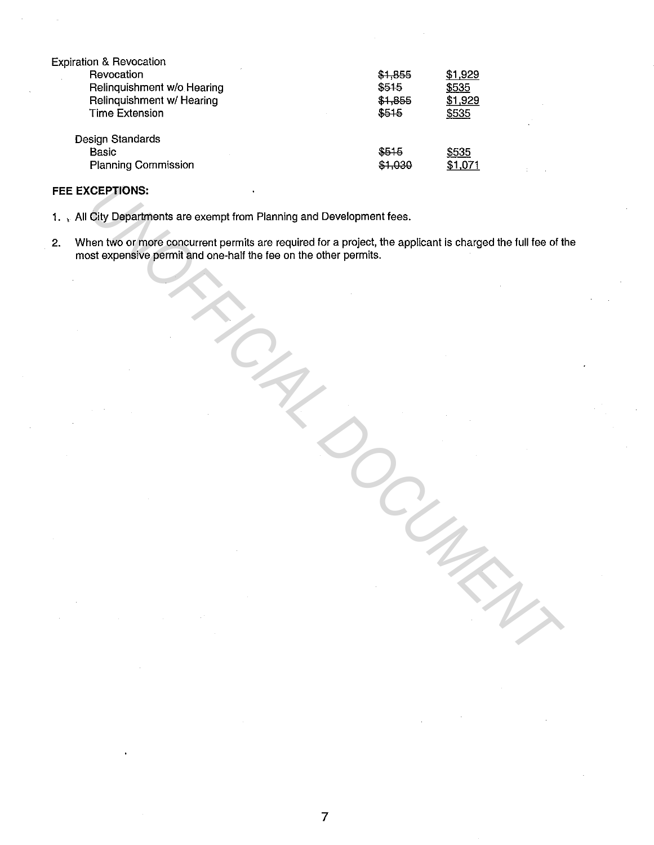| <b>Expiration &amp; Revocation</b> |         |              |
|------------------------------------|---------|--------------|
| Revocation                         | \$1,855 | \$1,929      |
| Relinguishment w/o Hearing         | \$515   | \$535        |
| Relinquishment w/ Hearing          | \$1,855 | \$1,929      |
| <b>Time Extension</b>              | \$515   | \$535        |
| <b>Design Standards</b>            |         |              |
| <b>Basic</b>                       | \$515   | <u>\$535</u> |
| <b>Planning Commission</b>         | \$1.030 | \$1,071      |

#### **FEE EXCEPTIONS:**

1. , All City Departments are exempt from Planning and Development fees.

2. When two or more concurrent permits are required for a project, the applicant is charged the full fee of the most expensive permit and one-half the fee on the other permits. **USEPTIONS:**<br>
Usity Departments are exempt from Planning and Development fees.<br>
Internative of the conduct of the conduction of the conduction of the applicant is charged the full foe of t<br>
Existences of the conduction of